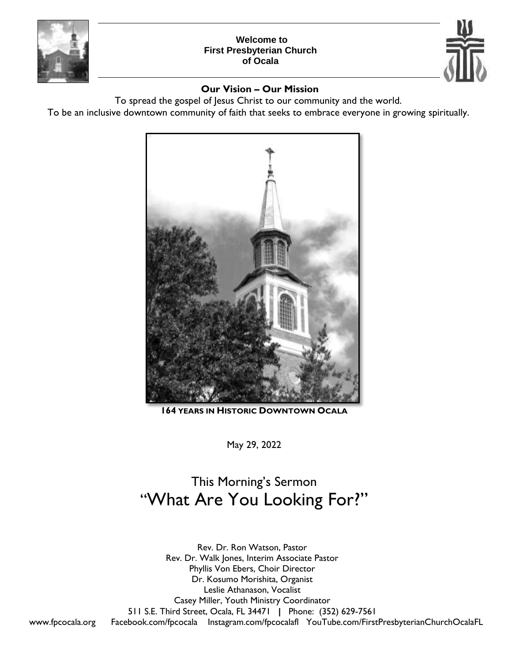

### **Welcome to First Presbyterian Church of Ocala**



### **Our Vision – Our Mission**

To spread the gospel of Jesus Christ to our community and the world.

To be an inclusive downtown community of faith that seeks to embrace everyone in growing spiritually.



**164 YEARS IN HISTORIC DOWNTOWN OCALA**

May 29, 2022

# This Morning's Sermon "What Are You Looking For?"

Rev. Dr. Ron Watson, Pastor Rev. Dr. Walk Jones, Interim Associate Pastor Phyllis Von Ebers, Choir Director Dr. Kosumo Morishita, Organist Leslie Athanason, Vocalist Casey Miller, Youth Ministry Coordinator 511 S.E. Third Street, Ocala, FL 34471 **|** Phone: (352) 629-7561 [www.fpcocala.org](http://www.fpcocala.org/) Facebook.com/fpcocala Instagram.com/fpcocalafl YouTube.com/FirstPresbyterianChurchOcalaFL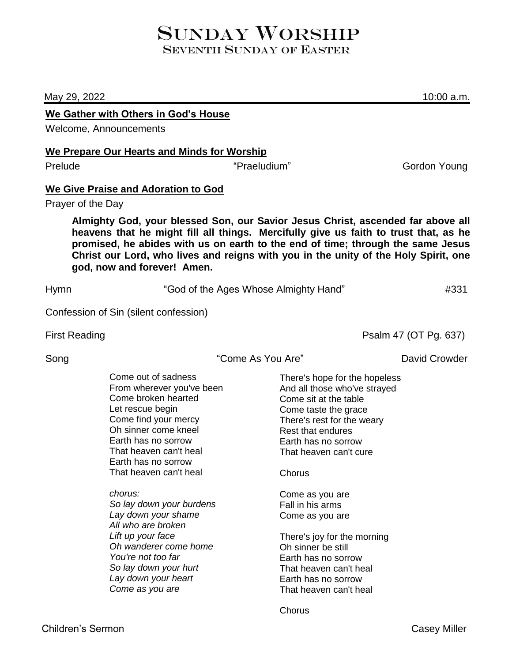## SUNDAY WORSHIP SEVENTH SUNDAY OF EASTER

May 29, 2022 10:00 a.m.

### **We Gather with Others in God's House**

Welcome, Announcements

### **We Prepare Our Hearts and Minds for Worship**

Prelude The Contract Contract Contract Contract Contract Contract Contract Contract Contract Contract Contract Contract Contract Contract Contract Contract Contract Contract Contract Contract Contract Contract Contract Con

### **We Give Praise and Adoration to God**

Prayer of the Day

**Almighty God, your blessed Son, our Savior Jesus Christ, ascended far above all heavens that he might fill all things. Mercifully give us faith to trust that, as he promised, he abides with us on earth to the end of time; through the same Jesus Christ our Lord, who lives and reigns with you in the unity of the Holy Spirit, one god, now and forever! Amen.**

Hymn  $\sim$  "God of the Ages Whose Almighty Hand"  $\rm \sim$  #331

Confession of Sin (silent confession)

First Reading Property Reading Psalm 47 (OT Pg. 637)

Song The Come As You Are" **Come As You Are As You Are As You Are** David Crowder

| Come out of sadness<br>From wherever you've been |
|--------------------------------------------------|
| Come broken hearted                              |
| Let rescue begin                                 |
| Come find your mercy                             |
| Oh sinner come kneel                             |
| Earth has no sorrow                              |
| That heaven can't heal                           |
| Earth has no sorrow                              |
| That heaven can't heal                           |

*chorus:*

*So lay down your burdens Lay down your shame All who are broken Lift up your face Oh wanderer come home You're not too far So lay down your hurt Lay down your heart Come as you are*

There's hope for the hopeless And all those who've strayed Come sit at the table Come taste the grace There's rest for the weary Rest that endures Earth has no sorrow That heaven can't cure

**Chorus** 

Come as you are Fall in his arms Come as you are

There's joy for the morning Oh sinner be still Earth has no sorrow That heaven can't heal Earth has no sorrow That heaven can't heal

**Chorus**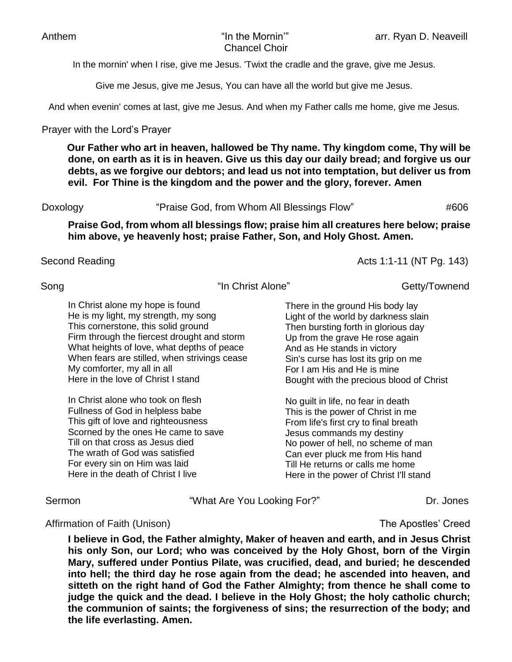In the mornin' when I rise, give me Jesus. 'Twixt the cradle and the grave, give me Jesus.

Give me Jesus, give me Jesus, You can have all the world but give me Jesus.

And when evenin' comes at last, give me Jesus. And when my Father calls me home, give me Jesus.

### Prayer with the Lord's Prayer

**Our Father who art in heaven, hallowed be Thy name. Thy kingdom come, Thy will be done, on earth as it is in heaven. Give us this day our daily bread; and forgive us our debts, as we forgive our debtors; and lead us not into temptation, but deliver us from evil. For Thine is the kingdom and the power and the glory, forever. Amen**

Doxology **"**Praise God, from Whom All Blessings Flow" #606

**Praise God, from whom all blessings flow; praise him all creatures here below; praise him above, ye heavenly host; praise Father, Son, and Holy Ghost. Amen.** 

Second Reading **Acts** 1:1-11 (NT Pg. 143)

Song The Christ Alone" Getty/Townend Song

In Christ alone my hope is found He is my light, my strength, my song This cornerstone, this solid ground Firm through the fiercest drought and storm What heights of love, what depths of peace When fears are stilled, when strivings cease My comforter, my all in all Here in the love of Christ I stand

In Christ alone who took on flesh Fullness of God in helpless babe This gift of love and righteousness Scorned by the ones He came to save Till on that cross as Jesus died The wrath of God was satisfied For every sin on Him was laid Here in the death of Christ I live

There in the ground His body lay Light of the world by darkness slain Then bursting forth in glorious day Up from the grave He rose again And as He stands in victory Sin's curse has lost its grip on me For I am His and He is mine Bought with the precious blood of Christ

No guilt in life, no fear in death This is the power of Christ in me From life's first cry to final breath Jesus commands my destiny No power of hell, no scheme of man Can ever pluck me from His hand Till He returns or calls me home Here in the power of Christ I'll stand

Sermon **The Contract Contract Contract Contract Contract Contract Contract Contract Contract Contract Contract Contract Contract Contract Contract Contract Contract Contract Contract Contract Contract Contract Contract Con** 

### Affirmation of Faith (Unison) and The Apostles' Creed

**I believe in God, the Father almighty, Maker of heaven and earth, and in Jesus Christ his only Son, our Lord; who was conceived by the Holy Ghost, born of the Virgin Mary, suffered under Pontius Pilate, was crucified, dead, and buried; he descended into hell; the third day he rose again from the dead; he ascended into heaven, and sitteth on the right hand of God the Father Almighty; from thence he shall come to judge the quick and the dead. I believe in the Holy Ghost; the holy catholic church; the communion of saints; the forgiveness of sins; the resurrection of the body; and the life everlasting. Amen.**